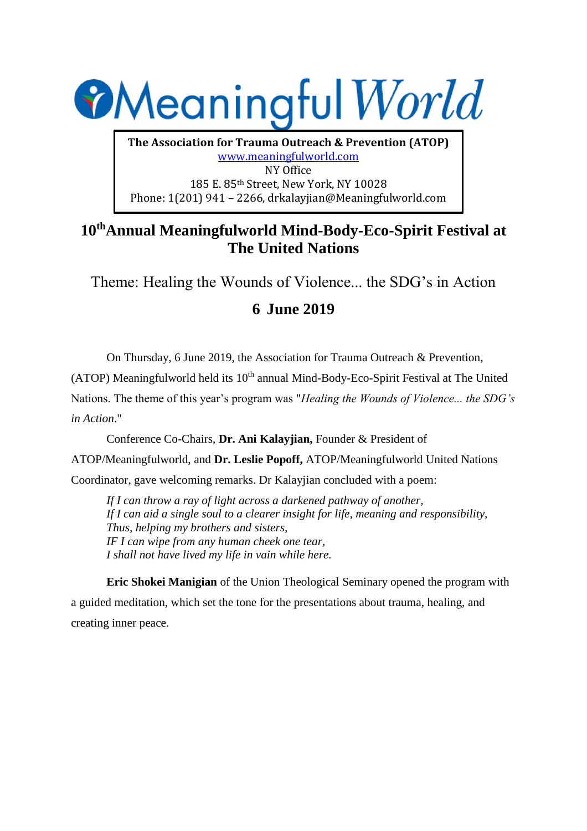

**The Association for Trauma Outreach & Prevention (ATOP)** www.meaningfulworld.com NY Office 185 E. 85th Street, New York, NY 10028 Phone: 1(201) 941 – 2266, drkalayjian@Meaningfulworld.com

## **10thAnnual Meaningfulworld Mind-Body-Eco-Spirit Festival at The United Nations**

Theme: Healing the Wounds of Violence... the SDG's in Action

## **6 June 2019**

On Thursday, 6 June 2019, the Association for Trauma Outreach & Prevention,

(ATOP) Meaningfulworld held its  $10<sup>th</sup>$  annual Mind-Body-Eco-Spirit Festival at The United

Nations. The theme of this year's program was "*Healing the Wounds of Violence... the SDG's in Action*."

Conference Co-Chairs, **Dr. Ani Kalayjian,** Founder & President of

ATOP/Meaningfulworld, and **Dr. Leslie Popoff,** ATOP/Meaningfulworld United Nations

Coordinator, gave welcoming remarks. Dr Kalayjian concluded with a poem:

*If I can throw a ray of light across a darkened pathway of another, If I can aid a single soul to a clearer insight for life, meaning and responsibility, Thus, helping my brothers and sisters, IF I can wipe from any human cheek one tear, I shall not have lived my life in vain while here.*

**Eric Shokei Manigian** of the Union Theological Seminary opened the program with a guided meditation, which set the tone for the presentations about trauma, healing, and creating inner peace.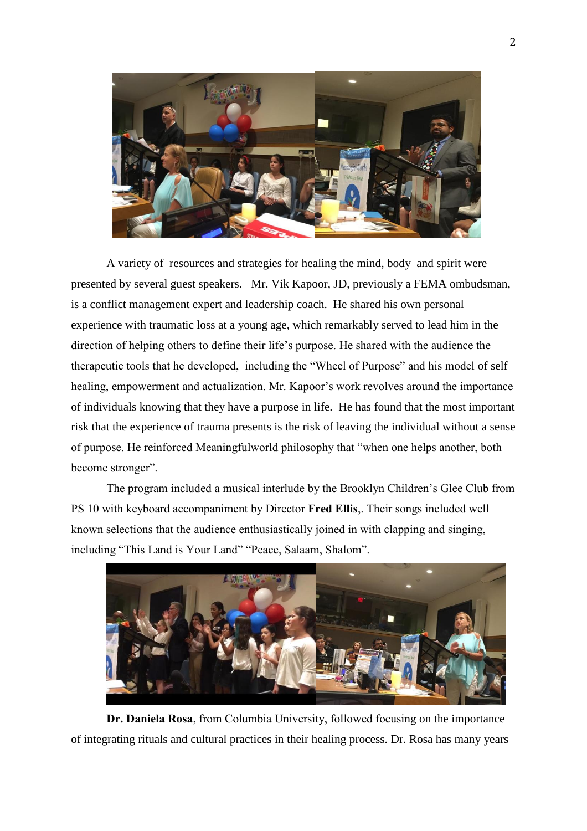

A variety of resources and strategies for healing the mind, body and spirit were presented by several guest speakers. Mr. Vik Kapoor, JD, previously a FEMA ombudsman, is a conflict management expert and leadership coach. He shared his own personal experience with traumatic loss at a young age, which remarkably served to lead him in the direction of helping others to define their life's purpose. He shared with the audience the therapeutic tools that he developed, including the "Wheel of Purpose" and his model of self healing, empowerment and actualization. Mr. Kapoor's work revolves around the importance of individuals knowing that they have a purpose in life. He has found that the most important risk that the experience of trauma presents is the risk of leaving the individual without a sense of purpose. He reinforced Meaningfulworld philosophy that "when one helps another, both become stronger".

The program included a musical interlude by the Brooklyn Children's Glee Club from PS 10 with keyboard accompaniment by Director **Fred Ellis**,. Their songs included well known selections that the audience enthusiastically joined in with clapping and singing, including "This Land is Your Land" "Peace, Salaam, Shalom".



**Dr. Daniela Rosa**, from Columbia University, followed focusing on the importance of integrating rituals and cultural practices in their healing process. Dr. Rosa has many years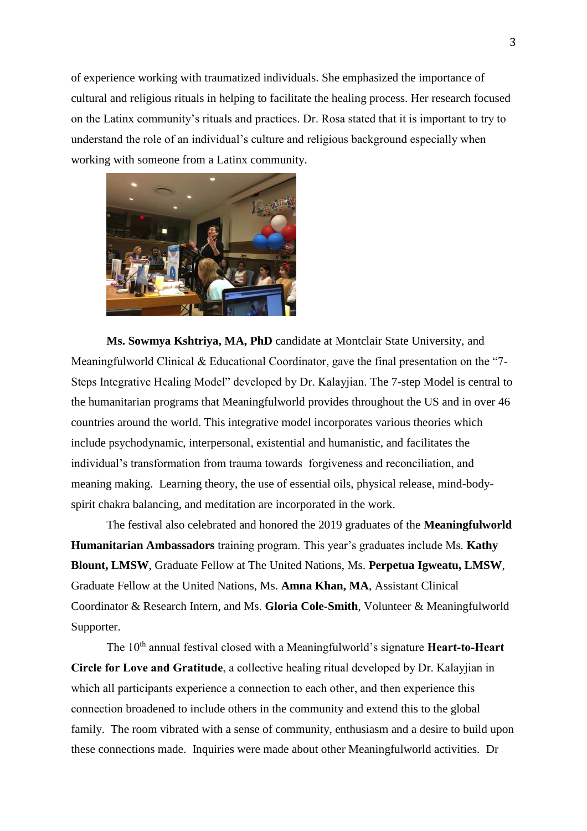of experience working with traumatized individuals. She emphasized the importance of cultural and religious rituals in helping to facilitate the healing process. Her research focused on the Latinx community's rituals and practices. Dr. Rosa stated that it is important to try to understand the role of an individual's culture and religious background especially when working with someone from a Latinx community.



**Ms. Sowmya Kshtriya, MA, PhD** candidate at Montclair State University, and Meaningfulworld Clinical & Educational Coordinator, gave the final presentation on the "7- Steps Integrative Healing Model" developed by Dr. Kalayjian. The 7-step Model is central to the humanitarian programs that Meaningfulworld provides throughout the US and in over 46 countries around the world. This integrative model incorporates various theories which include psychodynamic, interpersonal, existential and humanistic, and facilitates the individual's transformation from trauma towards forgiveness and reconciliation, and meaning making. Learning theory, the use of essential oils, physical release, mind-bodyspirit chakra balancing, and meditation are incorporated in the work.

The festival also celebrated and honored the 2019 graduates of the **Meaningfulworld Humanitarian Ambassadors** training program. This year's graduates include Ms. **Kathy Blount, LMSW**, Graduate Fellow at The United Nations, Ms. **Perpetua Igweatu, LMSW**, Graduate Fellow at the United Nations, Ms. **Amna Khan, MA**, Assistant Clinical Coordinator & Research Intern, and Ms. **Gloria Cole-Smith**, Volunteer & Meaningfulworld Supporter.

The 10th annual festival closed with a Meaningfulworld's signature **Heart-to-Heart Circle for Love and Gratitude**, a collective healing ritual developed by Dr. Kalayjian in which all participants experience a connection to each other, and then experience this connection broadened to include others in the community and extend this to the global family. The room vibrated with a sense of community, enthusiasm and a desire to build upon these connections made. Inquiries were made about other Meaningfulworld activities. Dr